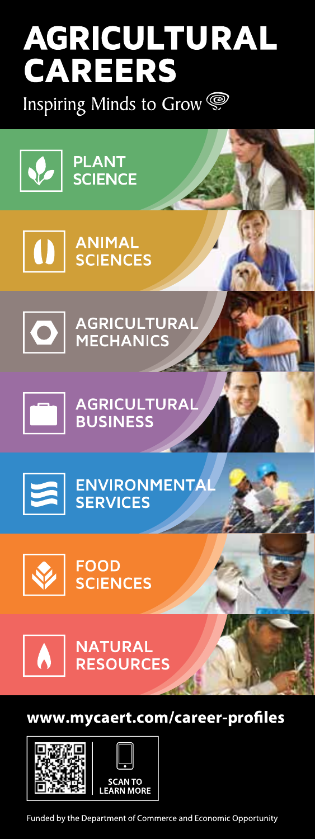## AGRICULTURAL **CAREERS**

Inspiring Minds to Grow

 $\left\lceil \left\langle \right\rangle \right\rceil$  PLANT

**O**<br>
SCIENCES

 $\overline{\textbf{O}}$ 

AGRICULTURAL<br>MECHANICS

 $\Box$ 

AGRICULTURAL<br>BUSINESS



ENVIRONMENTA



**FOOD SCIENCES** 



**NATURAL RESOURCES** 

## www.mycaert.com/career-profiles



Funded by the Department of Commerce and Economic Opportunity